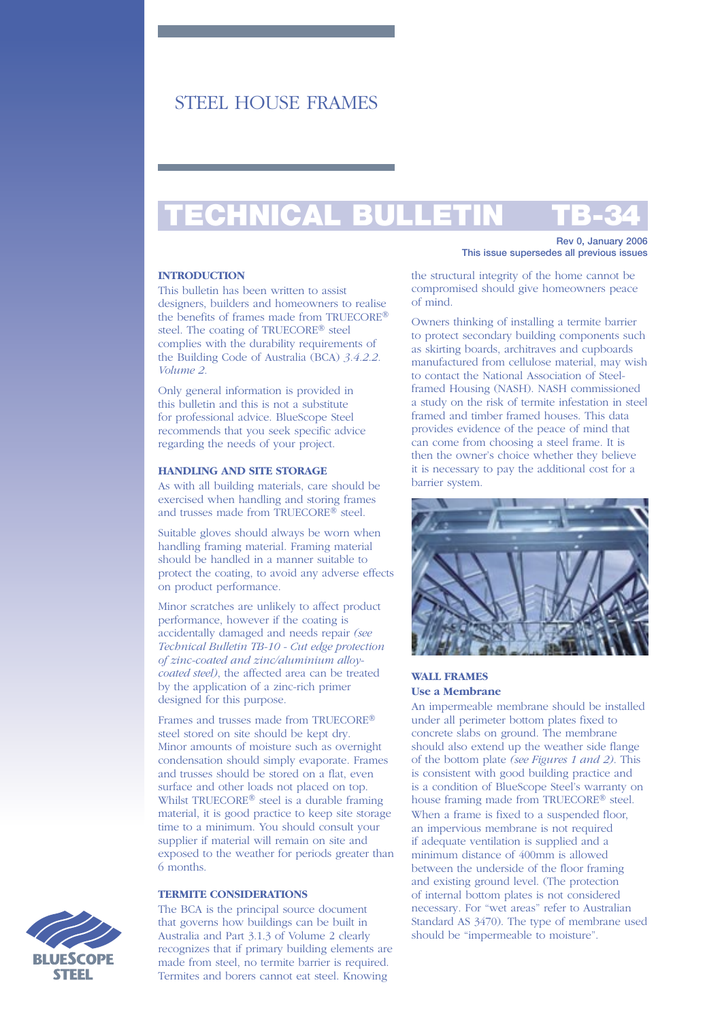# STEEL HOUSE FRAMES

# TECHNICAL BULLETIN TB-34

# **INTRODUCTION**

This bulletin has been written to assist designers, builders and homeowners to realise the benefits of frames made from TRUECORE® steel. The coating of TRUECORE® steel complies with the durability requirements of the Building Code of Australia (BCA) *3.4.2.2. Volume 2.*

Only general information is provided in this bulletin and this is not a substitute for professional advice. BlueScope Steel recommends that you seek specific advice regarding the needs of your project.

# **HANDLING AND SITE STORAGE**

As with all building materials, care should be exercised when handling and storing frames and trusses made from TRUECORE® steel.

Suitable gloves should always be worn when handling framing material. Framing material should be handled in a manner suitable to protect the coating, to avoid any adverse effects on product performance.

Minor scratches are unlikely to affect product performance, however if the coating is accidentally damaged and needs repair *(see Technical Bulletin TB-10 - Cut edge protection of zinc-coated and zinc/aluminium alloycoated steel)*, the affected area can be treated by the application of a zinc-rich primer designed for this purpose.

Frames and trusses made from TRUECORE® steel stored on site should be kept dry. Minor amounts of moisture such as overnight condensation should simply evaporate. Frames and trusses should be stored on a flat, even surface and other loads not placed on top. Whilst TRUECORE® steel is a durable framing material, it is good practice to keep site storage time to a minimum. You should consult your supplier if material will remain on site and exposed to the weather for periods greater than 6 months.

# **TERMITE CONSIDERATIONS**

The BCA is the principal source document that governs how buildings can be built in Australia and Part 3.1.3 of Volume 2 clearly recognizes that if primary building elements are made from steel, no termite barrier is required. Termites and borers cannot eat steel. Knowing

Rev 0, January 2006 This issue supersedes all previous issues

the structural integrity of the home cannot be compromised should give homeowners peace of mind.

Owners thinking of installing a termite barrier to protect secondary building components such as skirting boards, architraves and cupboards manufactured from cellulose material, may wish to contact the National Association of Steelframed Housing (NASH). NASH commissioned a study on the risk of termite infestation in steel framed and timber framed houses. This data provides evidence of the peace of mind that can come from choosing a steel frame. It is then the owner's choice whether they believe it is necessary to pay the additional cost for a barrier system.



# WALL FRAMES **Use a Membrane**

An impermeable membrane should be installed under all perimeter bottom plates fixed to concrete slabs on ground. The membrane should also extend up the weather side flange of the bottom plate *(see Figures 1 and 2)*. This is consistent with good building practice and is a condition of BlueScope Steel's warranty on house framing made from TRUECORE® steel. When a frame is fixed to a suspended floor, an impervious membrane is not required if adequate ventilation is supplied and a minimum distance of 400mm is allowed between the underside of the floor framing and existing ground level. (The protection of internal bottom plates is not considered necessary. For "wet areas" refer to Australian Standard AS 3470). The type of membrane used should be "impermeable to moisture".

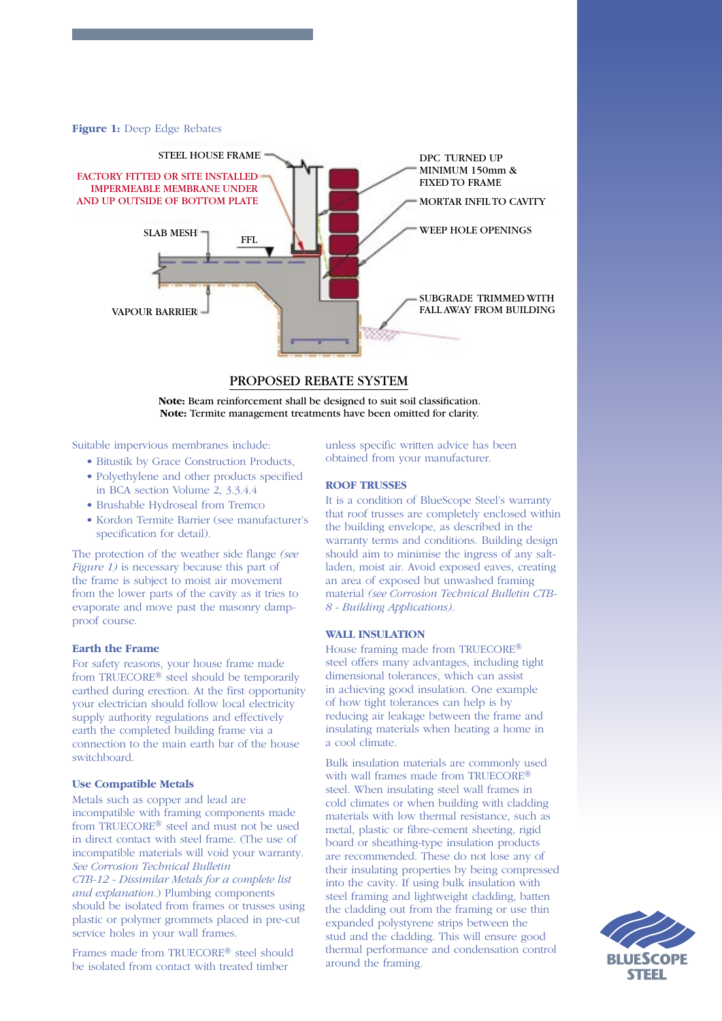**Figure 1:** Deep Edge Rebates



# PROPOSED REBATE SYSTEM

**Note:** Beam reinforcement shall be designed to suit soil classification. **Note:** Termite management treatments have been omitted for clarity.

Suitable impervious membranes include:

- Bitustik by Grace Construction Products,
- Polyethylene and other products specified in BCA section Volume 2, 3.3.4.4
- Brushable Hydroseal from Tremco
- Kordon Termite Barrier (see manufacturer's specification for detail).

The protection of the weather side flange *(see Figure 1*) is necessary because this part of the frame is subject to moist air movement from the lower parts of the cavity as it tries to evaporate and move past the masonry dampproof course.

#### **Earth the Frame**

For safety reasons, your house frame made from TRUECORE® steel should be temporarily earthed during erection. At the first opportunity your electrician should follow local electricity supply authority regulations and effectively earth the completed building frame via a connection to the main earth bar of the house switchboard.

#### **Use Compatible Metals**

Metals such as copper and lead are incompatible with framing components made from TRUECORE® steel and must not be used in direct contact with steel frame. (The use of incompatible materials will void your warranty. *See Corrosion Technical Bulletin CTB-12 - Dissimilar Metals for a complete list and explanation.*) Plumbing components should be isolated from frames or trusses using plastic or polymer grommets placed in pre-cut service holes in your wall frames.

Frames made from TRUECORE® steel should be isolated from contact with treated timber

unless specific written advice has been obtained from your manufacturer.

### **ROOF TRUSSES**

It is a condition of BlueScope Steel's warranty that roof trusses are completely enclosed within the building envelope, as described in the warranty terms and conditions. Building design should aim to minimise the ingress of any saltladen, moist air. Avoid exposed eaves, creating an area of exposed but unwashed framing material *(see Corrosion Technical Bulletin CTB-8 - Building Applications)*.

# **WALL INSULATION**

House framing made from TRUECORE® steel offers many advantages, including tight dimensional tolerances, which can assist in achieving good insulation. One example of how tight tolerances can help is by reducing air leakage between the frame and insulating materials when heating a home in a cool climate.

Bulk insulation materials are commonly used with wall frames made from TRUECORE® steel. When insulating steel wall frames in cold climates or when building with cladding materials with low thermal resistance, such as metal, plastic or fibre-cement sheeting, rigid board or sheathing-type insulation products are recommended. These do not lose any of their insulating properties by being compressed into the cavity. If using bulk insulation with steel framing and lightweight cladding, batten the cladding out from the framing or use thin expanded polystyrene strips between the stud and the cladding. This will ensure good thermal performance and condensation control around the framing.

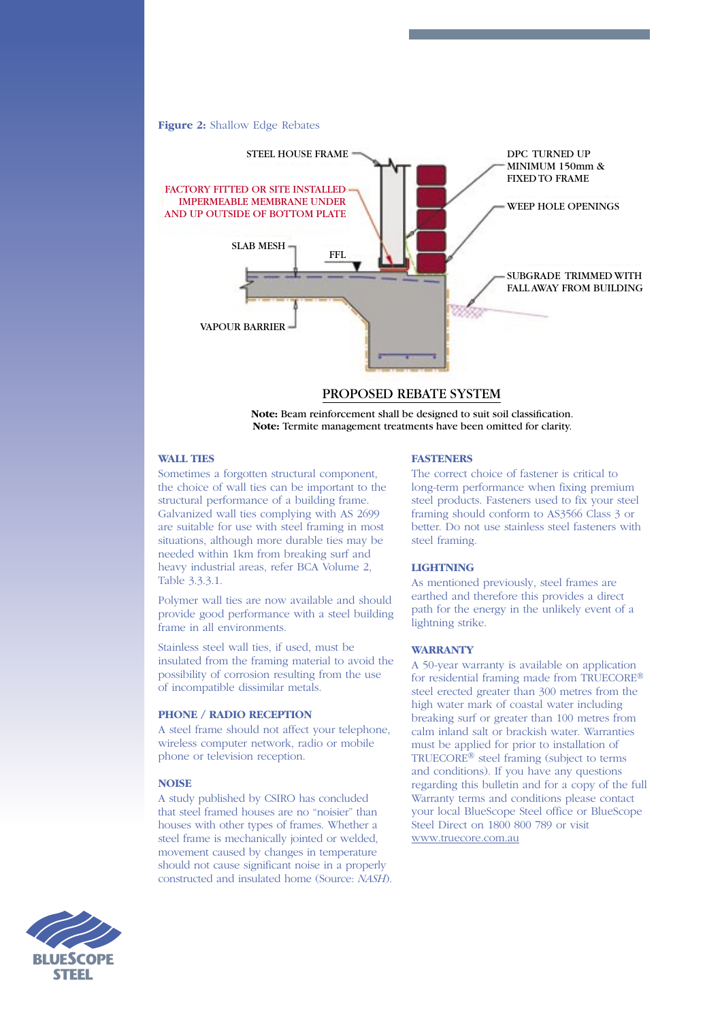**Figure 2:** Shallow Edge Rebates



# PROPOSED REBATE SYSTEM

**Note:** Beam reinforcement shall be designed to suit soil classification. **Note:** Termite management treatments have been omitted for clarity.

#### **WALL TIES**

Sometimes a forgotten structural component, the choice of wall ties can be important to the structural performance of a building frame. Galvanized wall ties complying with AS 2699 are suitable for use with steel framing in most situations, although more durable ties may be needed within 1km from breaking surf and heavy industrial areas, refer BCA Volume 2, Table 3.3.3.1.

Polymer wall ties are now available and should provide good performance with a steel building frame in all environments.

Stainless steel wall ties, if used, must be insulated from the framing material to avoid the possibility of corrosion resulting from the use of incompatible dissimilar metals.

#### **PHONE / RADIO RECEPTION**

A steel frame should not affect your telephone, wireless computer network, radio or mobile phone or television reception.

#### **NOISE**

A study published by CSIRO has concluded that steel framed houses are no "noisier" than houses with other types of frames. Whether a steel frame is mechanically jointed or welded, movement caused by changes in temperature should not cause significant noise in a properly constructed and insulated home (Source: *NASH*).

#### **FASTENERS**

The correct choice of fastener is critical to long-term performance when fixing premium steel products. Fasteners used to fix your steel framing should conform to AS3566 Class 3 or better. Do not use stainless steel fasteners with steel framing.

#### **LIGHTNING**

As mentioned previously, steel frames are earthed and therefore this provides a direct path for the energy in the unlikely event of a lightning strike.

#### **WARRANTY**

A 50-year warranty is available on application for residential framing made from TRUECORE® steel erected greater than 300 metres from the high water mark of coastal water including breaking surf or greater than 100 metres from calm inland salt or brackish water. Warranties must be applied for prior to installation of TRUECORE® steel framing (subject to terms and conditions). If you have any questions regarding this bulletin and for a copy of the full Warranty terms and conditions please contact your local BlueScope Steel office or BlueScope Steel Direct on 1800 800 789 or visit www.truecore.com.au